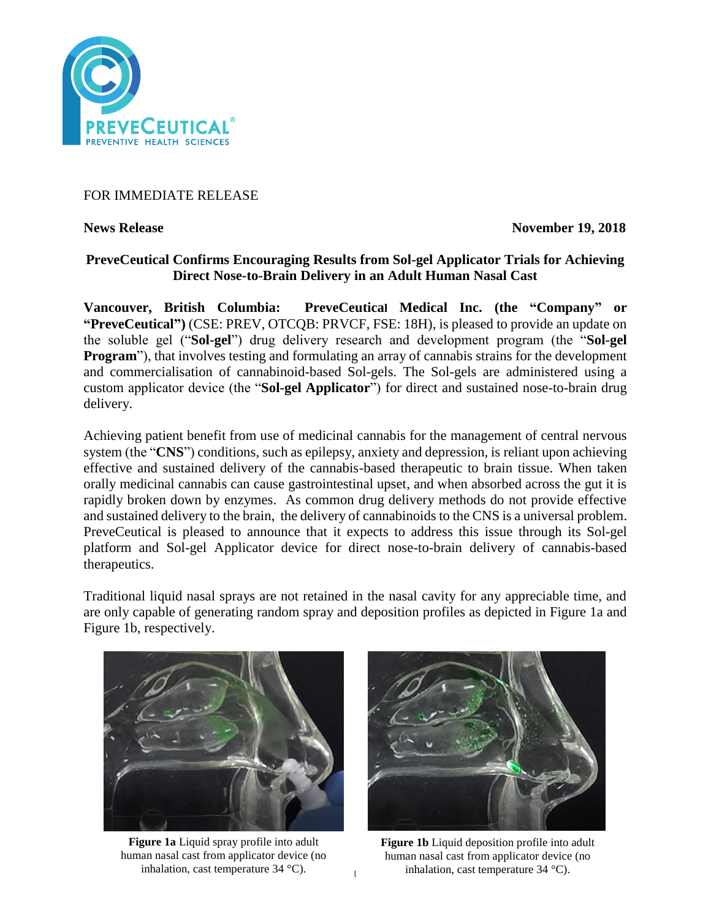

# FOR IMMEDIATE RELEASE

**News Release November 19, 2018** 

# **PreveCeutical Confirms Encouraging Results from Sol-gel Applicator Trials for Achieving Direct Nose-to-Brain Delivery in an Adult Human Nasal Cast**

**Vancouver, British Columbia: PreveCeutical Medical Inc. (the "Company" or "PreveCeutical")** (CSE: PREV, OTCQB: PRVCF, FSE: 18H), is pleased to provide an update on the soluble gel ("**Sol-gel**") drug delivery research and development program (the "**Sol-gel Program**"), that involves testing and formulating an array of cannabis strains for the development and commercialisation of cannabinoid-based Sol-gels. The Sol-gels are administered using a custom applicator device (the "**Sol-gel Applicator**") for direct and sustained nose-to-brain drug delivery.

Achieving patient benefit from use of medicinal cannabis for the management of central nervous system (the "**CNS**") conditions, such as epilepsy, anxiety and depression, is reliant upon achieving effective and sustained delivery of the cannabis-based therapeutic to brain tissue. When taken orally medicinal cannabis can cause gastrointestinal upset, and when absorbed across the gut it is rapidly broken down by enzymes. As common drug delivery methods do not provide effective and sustained delivery to the brain, the delivery of cannabinoids to the CNS is a universal problem. PreveCeutical is pleased to announce that it expects to address this issue through its Sol-gel platform and Sol-gel Applicator device for direct nose-to-brain delivery of cannabis-based therapeutics.

Traditional liquid nasal sprays are not retained in the nasal cavity for any appreciable time, and are only capable of generating random spray and deposition profiles as depicted in Figure 1a and Figure 1b, respectively.



**Figure 1a** Liquid spray profile into adult human nasal cast from applicator device (no inhalation, cast temperature 34 °C).



**Figure 1b** Liquid deposition profile into adult human nasal cast from applicator device (no inhalation, cast temperature 34 °C).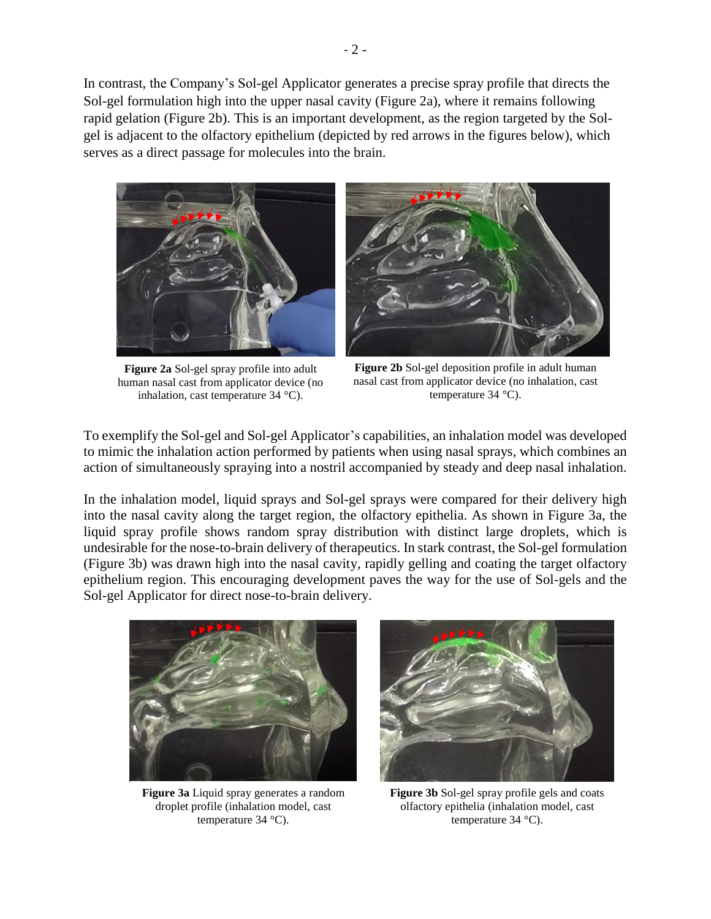In contrast, the Company's Sol-gel Applicator generates a precise spray profile that directs the Sol-gel formulation high into the upper nasal cavity (Figure 2a), where it remains following rapid gelation (Figure 2b). This is an important development, as the region targeted by the Solgel is adjacent to the olfactory epithelium (depicted by red arrows in the figures below), which serves as a direct passage for molecules into the brain.



**Figure 2a** Sol-gel spray profile into adult human nasal cast from applicator device (no inhalation, cast temperature 34 °C).



**Figure 2b** Sol-gel deposition profile in adult human nasal cast from applicator device (no inhalation, cast temperature 34 °C).

To exemplify the Sol-gel and Sol-gel Applicator's capabilities, an inhalation model was developed to mimic the inhalation action performed by patients when using nasal sprays, which combines an action of simultaneously spraying into a nostril accompanied by steady and deep nasal inhalation.

In the inhalation model, liquid sprays and Sol-gel sprays were compared for their delivery high into the nasal cavity along the target region, the olfactory epithelia. As shown in Figure 3a, the liquid spray profile shows random spray distribution with distinct large droplets, which is undesirable for the nose-to-brain delivery of therapeutics. In stark contrast, the Sol-gel formulation (Figure 3b) was drawn high into the nasal cavity, rapidly gelling and coating the target olfactory epithelium region. This encouraging development paves the way for the use of Sol-gels and the Sol-gel Applicator for direct nose-to-brain delivery.



**Figure 3a** Liquid spray generates a random droplet profile (inhalation model, cast temperature 34 °C).



**Figure 3b** Sol-gel spray profile gels and coats olfactory epithelia (inhalation model, cast temperature 34 °C).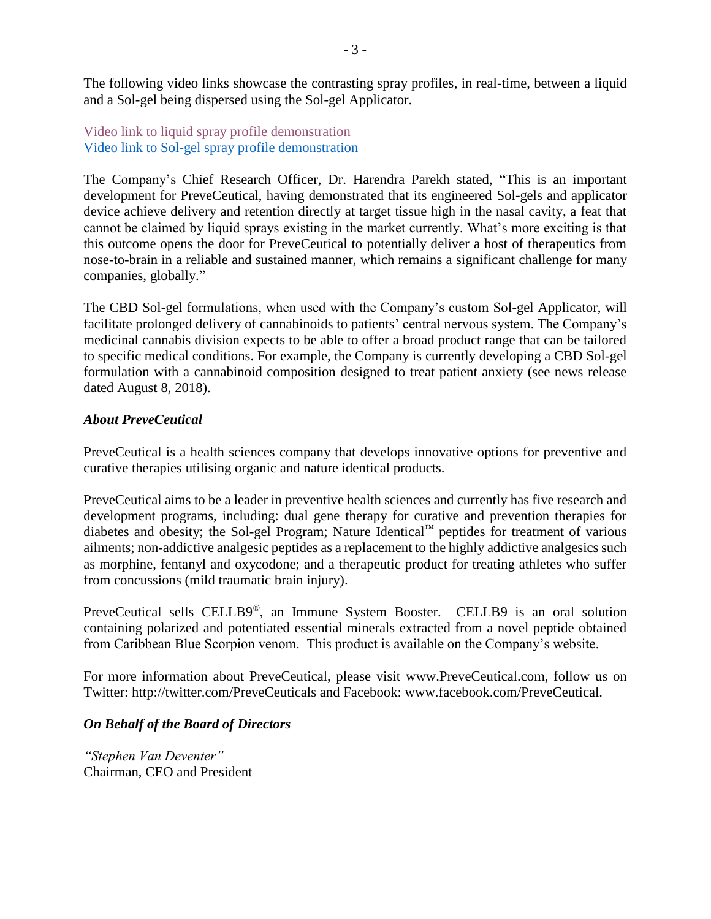The following video links showcase the contrasting spray profiles, in real-time, between a liquid and a Sol-gel being dispersed using the Sol-gel Applicator.

[Video link to liquid spray profile demonstration](https://www.youtube.com/watch?v=QYHZ6Xsf694&feature=youtu.be) [Video link to Sol-gel spray profile demonstration](https://www.youtube.com/watch?v=KfoIhOvn7rc&feature=youtu.be)

The Company's Chief Research Officer, Dr. Harendra Parekh stated, "This is an important development for PreveCeutical, having demonstrated that its engineered Sol-gels and applicator device achieve delivery and retention directly at target tissue high in the nasal cavity, a feat that cannot be claimed by liquid sprays existing in the market currently. What's more exciting is that this outcome opens the door for PreveCeutical to potentially deliver a host of therapeutics from nose-to-brain in a reliable and sustained manner, which remains a significant challenge for many companies, globally."

The CBD Sol-gel formulations, when used with the Company's custom Sol-gel Applicator, will facilitate prolonged delivery of cannabinoids to patients' central nervous system. The Company's medicinal cannabis division expects to be able to offer a broad product range that can be tailored to specific medical conditions. For example, the Company is currently developing a CBD Sol-gel formulation with a cannabinoid composition designed to treat patient anxiety (see news release dated August 8, 2018).

# *About PreveCeutical*

PreveCeutical is a health sciences company that develops innovative options for preventive and curative therapies utilising organic and nature identical products.

PreveCeutical aims to be a leader in preventive health sciences and currently has five research and development programs, including: dual gene therapy for curative and prevention therapies for diabetes and obesity; the Sol-gel Program; Nature Identical™ peptides for treatment of various ailments; non-addictive analgesic peptides as a replacement to the highly addictive analgesics such as morphine, fentanyl and oxycodone; and a therapeutic product for treating athletes who suffer from concussions (mild traumatic brain injury).

PreveCeutical sells CELLB9®, an Immune System Booster. CELLB9 is an oral solution containing polarized and potentiated essential minerals extracted from a novel peptide obtained from Caribbean Blue Scorpion venom. This product is available on the Company's website.

For more information about PreveCeutical, please visit www.PreveCeutical.com, follow us on Twitter: http://twitter.com/PreveCeuticals and Facebook: www.facebook.com/PreveCeutical.

## *On Behalf of the Board of Directors*

*"Stephen Van Deventer"* Chairman, CEO and President